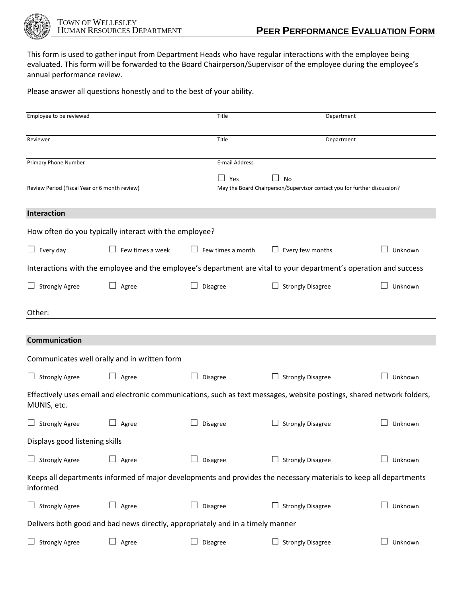

This form is used to gather input from Department Heads who have regular interactions with the employee being evaluated. This form will be forwarded to the Board Chairperson/Supervisor of the employee during the employee's annual performance review.

Please answer all questions honestly and to the best of your ability.

| Employee to be reviewed                       |                                                        | Title                                                                          | Department                                                                                                             |         |
|-----------------------------------------------|--------------------------------------------------------|--------------------------------------------------------------------------------|------------------------------------------------------------------------------------------------------------------------|---------|
| Reviewer                                      |                                                        | Title                                                                          | Department                                                                                                             |         |
| Primary Phone Number                          |                                                        | E-mail Address                                                                 |                                                                                                                        |         |
|                                               |                                                        | Yes                                                                            | <b>No</b>                                                                                                              |         |
| Review Period (Fiscal Year or 6 month review) |                                                        |                                                                                | May the Board Chairperson/Supervisor contact you for further discussion?                                               |         |
| Interaction                                   |                                                        |                                                                                |                                                                                                                        |         |
|                                               | How often do you typically interact with the employee? |                                                                                |                                                                                                                        |         |
| $\Box$ Every day                              | Few times a week                                       | Few times a month                                                              | $\Box$ Every few months                                                                                                | Unknown |
|                                               |                                                        |                                                                                | Interactions with the employee and the employee's department are vital to your department's operation and success      |         |
| $\Box$ Strongly Agree                         | Agree                                                  | Disagree                                                                       | <b>Strongly Disagree</b>                                                                                               | Unknown |
| Other:                                        |                                                        |                                                                                |                                                                                                                        |         |
|                                               |                                                        |                                                                                |                                                                                                                        |         |
| <b>Communication</b>                          |                                                        |                                                                                |                                                                                                                        |         |
|                                               | Communicates well orally and in written form           |                                                                                |                                                                                                                        |         |
| $\Box$ Strongly Agree                         | Agree<br>$\Box$                                        | Disagree                                                                       | <b>Strongly Disagree</b><br>ப                                                                                          | Unknown |
| MUNIS, etc.                                   |                                                        |                                                                                | Effectively uses email and electronic communications, such as text messages, website postings, shared network folders, |         |
| $\Box$ Strongly Agree                         | Agree                                                  | Disagree                                                                       | <b>Strongly Disagree</b>                                                                                               | Unknown |
| Displays good listening skills                |                                                        |                                                                                |                                                                                                                        |         |
| <b>Strongly Agree</b>                         | Agree                                                  | Disagree                                                                       | <b>Strongly Disagree</b>                                                                                               | Unknown |
| informed                                      |                                                        |                                                                                | Keeps all departments informed of major developments and provides the necessary materials to keep all departments      |         |
| $\Box$ Strongly Agree                         | Agree                                                  | Disagree                                                                       | $\Box$ Strongly Disagree                                                                                               | Unknown |
|                                               |                                                        | Delivers both good and bad news directly, appropriately and in a timely manner |                                                                                                                        |         |
| <b>Strongly Agree</b>                         | Agree                                                  | Disagree                                                                       | $\Box$ Strongly Disagree                                                                                               | Unknown |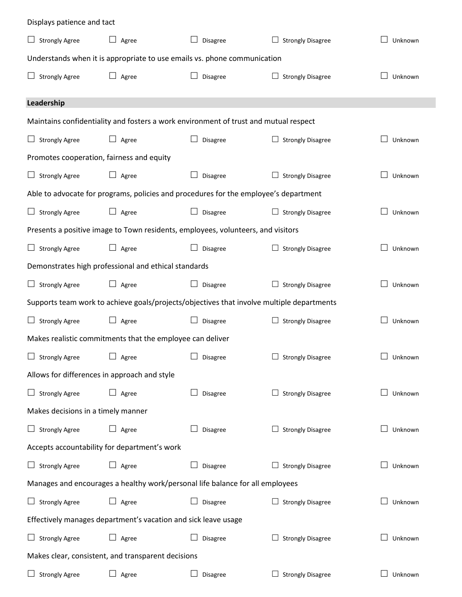| Displays patience and tact                                                    |                 |                                                                                           |                               |                |  |
|-------------------------------------------------------------------------------|-----------------|-------------------------------------------------------------------------------------------|-------------------------------|----------------|--|
| $\Box$ Strongly Agree                                                         | Agree<br>⊔      | Disagree                                                                                  | <b>Strongly Disagree</b>      | Unknown        |  |
| Understands when it is appropriate to use emails vs. phone communication      |                 |                                                                                           |                               |                |  |
| $\Box$ Strongly Agree                                                         | Agree           | Disagree                                                                                  | Ш<br><b>Strongly Disagree</b> | Unknown        |  |
| Leadership                                                                    |                 |                                                                                           |                               |                |  |
|                                                                               |                 | Maintains confidentiality and fosters a work environment of trust and mutual respect      |                               |                |  |
| $\Box$ Strongly Agree                                                         | Agree           | Disagree                                                                                  | <b>Strongly Disagree</b>      | Unknown        |  |
| Promotes cooperation, fairness and equity                                     |                 |                                                                                           |                               |                |  |
| $\Box$ Strongly Agree                                                         | Agree           | Disagree                                                                                  | <b>Strongly Disagree</b>      | Unknown        |  |
|                                                                               |                 | Able to advocate for programs, policies and procedures for the employee's department      |                               |                |  |
| $\Box$ Strongly Agree                                                         | ⊔<br>Agree      | Disagree                                                                                  | <b>Strongly Disagree</b>      | Unknown        |  |
|                                                                               |                 | Presents a positive image to Town residents, employees, volunteers, and visitors          |                               |                |  |
| $\Box$ Strongly Agree                                                         | ⊔<br>Agree      | Disagree                                                                                  | <b>Strongly Disagree</b>      | Unknown        |  |
| Demonstrates high professional and ethical standards                          |                 |                                                                                           |                               |                |  |
| $\Box$ Strongly Agree                                                         | ⊔<br>Agree      | Disagree                                                                                  | <b>Strongly Disagree</b>      | Unknown        |  |
|                                                                               |                 | Supports team work to achieve goals/projects/objectives that involve multiple departments |                               |                |  |
| $\Box$ Strongly Agree                                                         | $\Box$<br>Agree | Disagree                                                                                  | <b>Strongly Disagree</b>      | Unknown        |  |
| Makes realistic commitments that the employee can deliver                     |                 |                                                                                           |                               |                |  |
| $\Box$ Strongly Agree $\Box$ Agree                                            |                 | $\Box$ Disagree                                                                           | $\Box$ Strongly Disagree      | $\Box$ Unknown |  |
| Allows for differences in approach and style                                  |                 |                                                                                           |                               |                |  |
| $\Box$ Strongly Agree                                                         | $\Box$ Agree    | Disagree                                                                                  | $\Box$ Strongly Disagree      | Unknown        |  |
| Makes decisions in a timely manner                                            |                 |                                                                                           |                               |                |  |
| $\Box$ Strongly Agree                                                         | Agree           | Disagree                                                                                  | $\Box$ Strongly Disagree      | Unknown        |  |
| Accepts accountability for department's work                                  |                 |                                                                                           |                               |                |  |
| $\Box$ Strongly Agree                                                         | $\Box$ Agree    | Disagree                                                                                  | $\Box$ Strongly Disagree      | Unknown        |  |
| Manages and encourages a healthy work/personal life balance for all employees |                 |                                                                                           |                               |                |  |
| $\Box$ Strongly Agree                                                         | Agree           | Disagree                                                                                  | <b>Strongly Disagree</b>      | Unknown        |  |
| Effectively manages department's vacation and sick leave usage                |                 |                                                                                           |                               |                |  |
| $\Box$ Strongly Agree                                                         | Agree           | Disagree                                                                                  | <b>Strongly Disagree</b>      | Unknown        |  |
| Makes clear, consistent, and transparent decisions                            |                 |                                                                                           |                               |                |  |
| $\Box$ Strongly Agree                                                         | Agree           | Disagree                                                                                  | $\Box$ Strongly Disagree      | Unknown        |  |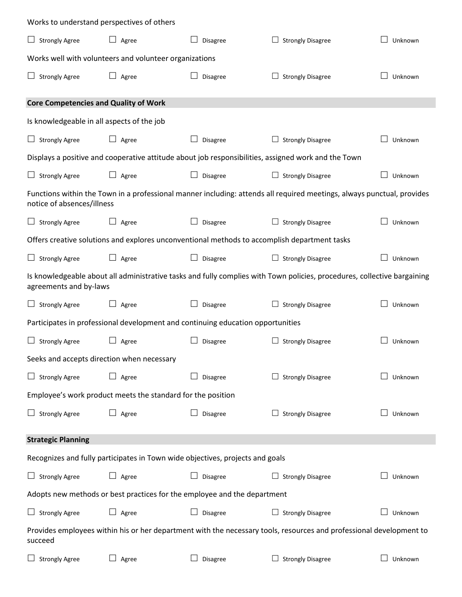| Works to understand perspectives of others                                                                                                           |                                                                                 |          |                                                                                                     |         |  |
|------------------------------------------------------------------------------------------------------------------------------------------------------|---------------------------------------------------------------------------------|----------|-----------------------------------------------------------------------------------------------------|---------|--|
| $\Box$ Strongly Agree                                                                                                                                | $\Box$ Agree                                                                    | Disagree | $\Box$ Strongly Disagree                                                                            | Unknown |  |
| Works well with volunteers and volunteer organizations                                                                                               |                                                                                 |          |                                                                                                     |         |  |
| $\Box$ Strongly Agree                                                                                                                                | $\Box$ Agree                                                                    | Disagree | $\Box$ Strongly Disagree                                                                            | Unknown |  |
| <b>Core Competencies and Quality of Work</b>                                                                                                         |                                                                                 |          |                                                                                                     |         |  |
| Is knowledgeable in all aspects of the job                                                                                                           |                                                                                 |          |                                                                                                     |         |  |
| $\Box$ Strongly Agree                                                                                                                                | $\Box$ Agree                                                                    | Disagree | <b>Strongly Disagree</b>                                                                            | Unknown |  |
|                                                                                                                                                      |                                                                                 |          | Displays a positive and cooperative attitude about job responsibilities, assigned work and the Town |         |  |
| $\Box$ Strongly Agree                                                                                                                                | $\Box$ Agree                                                                    | Disagree | $\Box$ Strongly Disagree                                                                            | Unknown |  |
| Functions within the Town in a professional manner including: attends all required meetings, always punctual, provides<br>notice of absences/illness |                                                                                 |          |                                                                                                     |         |  |
| $\Box$ Strongly Agree                                                                                                                                | $\Box$ Agree                                                                    | Disagree | $\Box$ Strongly Disagree                                                                            | Unknown |  |
|                                                                                                                                                      |                                                                                 |          | Offers creative solutions and explores unconventional methods to accomplish department tasks        |         |  |
| $\Box$ Strongly Agree                                                                                                                                | $\Box$ Agree                                                                    | Disagree | $\Box$ Strongly Disagree                                                                            | Unknown |  |
| Is knowledgeable about all administrative tasks and fully complies with Town policies, procedures, collective bargaining<br>agreements and by-laws   |                                                                                 |          |                                                                                                     |         |  |
| $\Box$ Strongly Agree                                                                                                                                | $\Box$ Agree                                                                    | Disagree | <b>Strongly Disagree</b>                                                                            | Unknown |  |
|                                                                                                                                                      | Participates in professional development and continuing education opportunities |          |                                                                                                     |         |  |
| $\Box$ Strongly Agree                                                                                                                                | $\Box$<br>Agree                                                                 | Disagree | <b>Strongly Disagree</b>                                                                            | Unknown |  |
| Seeks and accepts direction when necessary                                                                                                           |                                                                                 |          |                                                                                                     |         |  |
| <b>Strongly Agree</b><br>$\Box$                                                                                                                      | $\Box$<br>Agree                                                                 | Disagree | <b>Strongly Disagree</b>                                                                            | Unknown |  |
| Employee's work product meets the standard for the position                                                                                          |                                                                                 |          |                                                                                                     |         |  |
| $\Box$ Strongly Agree                                                                                                                                | $\Box$ Agree                                                                    | Disagree | <b>Strongly Disagree</b>                                                                            | Unknown |  |
| <b>Strategic Planning</b>                                                                                                                            |                                                                                 |          |                                                                                                     |         |  |
| Recognizes and fully participates in Town wide objectives, projects and goals                                                                        |                                                                                 |          |                                                                                                     |         |  |
| $\Box$ Strongly Agree                                                                                                                                | $\Box$<br>Agree                                                                 | Disagree | <b>Strongly Disagree</b>                                                                            | Unknown |  |
| Adopts new methods or best practices for the employee and the department                                                                             |                                                                                 |          |                                                                                                     |         |  |
| $\Box$ Strongly Agree                                                                                                                                | ⊔<br>Agree                                                                      | Disagree | <b>Strongly Disagree</b>                                                                            | Unknown |  |
| Provides employees within his or her department with the necessary tools, resources and professional development to<br>succeed                       |                                                                                 |          |                                                                                                     |         |  |
| <b>Strongly Agree</b>                                                                                                                                | Agree                                                                           | Disagree | <b>Strongly Disagree</b>                                                                            | Unknown |  |